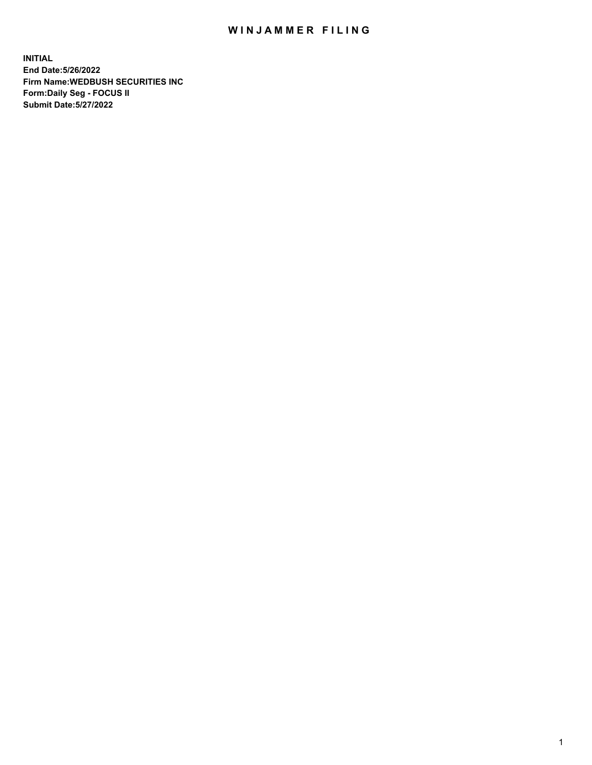## WIN JAMMER FILING

**INITIAL End Date:5/26/2022 Firm Name:WEDBUSH SECURITIES INC Form:Daily Seg - FOCUS II Submit Date:5/27/2022**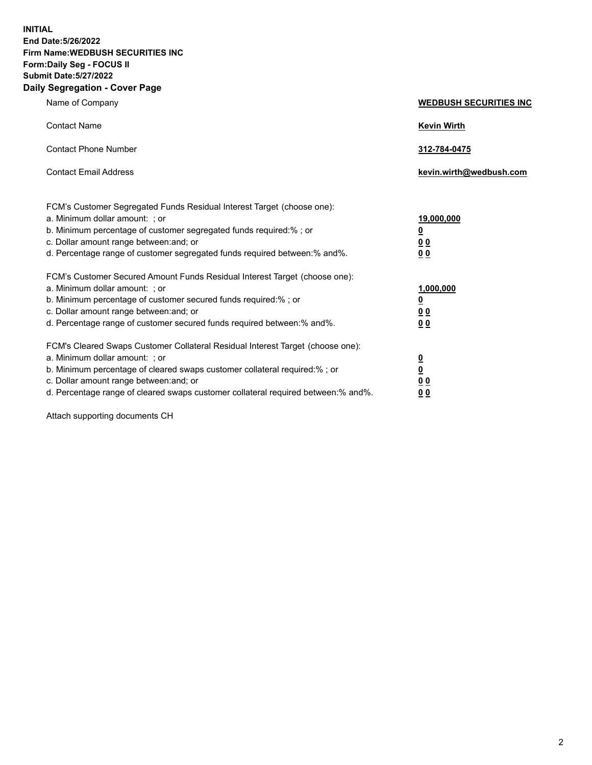**INITIAL End Date:5/26/2022 Firm Name:WEDBUSH SECURITIES INC Form:Daily Seg - FOCUS II Submit Date:5/27/2022 Daily Segregation - Cover Page**

| Name of Company                                                                                                                                                                                                                                                                                         | <b>WEDBUSH SECURITIES INC</b>                                               |
|---------------------------------------------------------------------------------------------------------------------------------------------------------------------------------------------------------------------------------------------------------------------------------------------------------|-----------------------------------------------------------------------------|
| <b>Contact Name</b>                                                                                                                                                                                                                                                                                     | <b>Kevin Wirth</b>                                                          |
| <b>Contact Phone Number</b>                                                                                                                                                                                                                                                                             | 312-784-0475                                                                |
| <b>Contact Email Address</b>                                                                                                                                                                                                                                                                            | kevin.wirth@wedbush.com                                                     |
| FCM's Customer Segregated Funds Residual Interest Target (choose one):<br>a. Minimum dollar amount: : or<br>b. Minimum percentage of customer segregated funds required:%; or<br>c. Dollar amount range between: and; or<br>d. Percentage range of customer segregated funds required between: % and %. | <u>19,000,000</u><br>$\overline{\mathbf{0}}$<br><u>00</u><br>0 <sub>0</sub> |
| FCM's Customer Secured Amount Funds Residual Interest Target (choose one):<br>a. Minimum dollar amount: ; or<br>b. Minimum percentage of customer secured funds required:%; or<br>c. Dollar amount range between: and; or<br>d. Percentage range of customer secured funds required between:% and%.     | 1,000,000<br>$\overline{\mathbf{0}}$<br>0 <sub>0</sub><br>0 <sub>0</sub>    |
| FCM's Cleared Swaps Customer Collateral Residual Interest Target (choose one):<br>a. Minimum dollar amount: ; or<br>b. Minimum percentage of cleared swaps customer collateral required:% ; or<br>c. Dollar amount range between: and; or                                                               | $\overline{\mathbf{0}}$<br>$\overline{\mathbf{0}}$<br>0 <sub>0</sub>        |

d. Percentage range of cleared swaps customer collateral required between:% and%. **0 0**

Attach supporting documents CH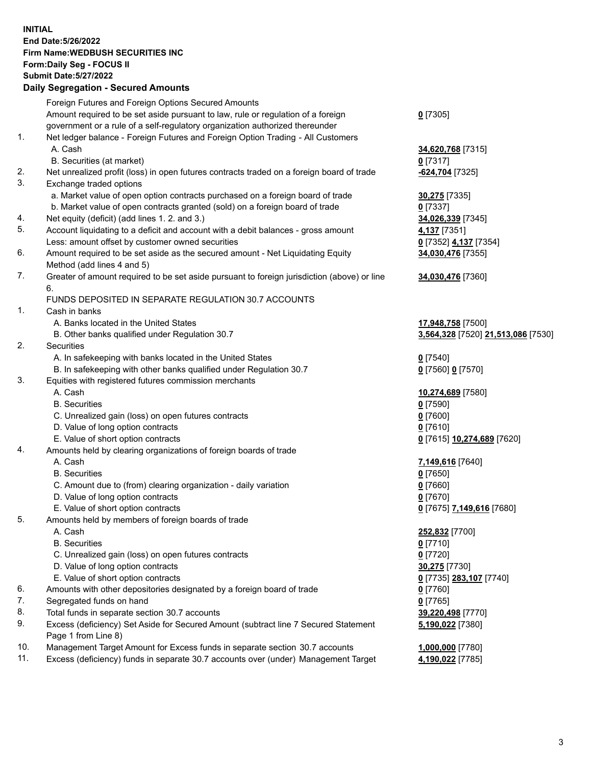**INITIAL End Date:5/26/2022 Firm Name:WEDBUSH SECURITIES INC Form:Daily Seg - FOCUS II Submit Date:5/27/2022 Daily Segregation - Secured Amounts**

|     | Dany Ocgregation - Occarea Anioants                                                               |                                    |
|-----|---------------------------------------------------------------------------------------------------|------------------------------------|
|     | Foreign Futures and Foreign Options Secured Amounts                                               |                                    |
|     | Amount required to be set aside pursuant to law, rule or regulation of a foreign                  | $0$ [7305]                         |
|     | government or a rule of a self-regulatory organization authorized thereunder                      |                                    |
| 1.  | Net ledger balance - Foreign Futures and Foreign Option Trading - All Customers                   |                                    |
|     | A. Cash                                                                                           | 34,620,768 [7315]                  |
|     | B. Securities (at market)                                                                         | $0$ [7317]                         |
| 2.  | Net unrealized profit (loss) in open futures contracts traded on a foreign board of trade         | -624,704 [7325]                    |
| 3.  | Exchange traded options                                                                           |                                    |
|     | a. Market value of open option contracts purchased on a foreign board of trade                    | 30,275 [7335]                      |
|     | b. Market value of open contracts granted (sold) on a foreign board of trade                      | $0$ [7337]                         |
| 4.  | Net equity (deficit) (add lines 1. 2. and 3.)                                                     | 34,026,339 [7345]                  |
| 5.  | Account liquidating to a deficit and account with a debit balances - gross amount                 | 4,137 [7351]                       |
|     | Less: amount offset by customer owned securities                                                  | 0 [7352] 4,137 [7354]              |
| 6.  | Amount required to be set aside as the secured amount - Net Liquidating Equity                    | 34,030,476 [7355]                  |
| 7.  | Method (add lines 4 and 5)                                                                        |                                    |
|     | Greater of amount required to be set aside pursuant to foreign jurisdiction (above) or line<br>6. | 34,030,476 [7360]                  |
|     | FUNDS DEPOSITED IN SEPARATE REGULATION 30.7 ACCOUNTS                                              |                                    |
| 1.  | Cash in banks                                                                                     |                                    |
|     | A. Banks located in the United States                                                             | 17,948,758 [7500]                  |
|     | B. Other banks qualified under Regulation 30.7                                                    | 3,564,328 [7520] 21,513,086 [7530] |
| 2.  | <b>Securities</b>                                                                                 |                                    |
|     | A. In safekeeping with banks located in the United States                                         | $0$ [7540]                         |
|     | B. In safekeeping with other banks qualified under Regulation 30.7                                | 0 [7560] 0 [7570]                  |
| 3.  | Equities with registered futures commission merchants                                             |                                    |
|     | A. Cash                                                                                           | 10,274,689 [7580]                  |
|     | <b>B.</b> Securities                                                                              | $0$ [7590]                         |
|     | C. Unrealized gain (loss) on open futures contracts                                               | $0$ [7600]                         |
|     | D. Value of long option contracts                                                                 | $0$ [7610]                         |
|     | E. Value of short option contracts                                                                | 0 [7615] 10,274,689 [7620]         |
| 4.  | Amounts held by clearing organizations of foreign boards of trade                                 |                                    |
|     | A. Cash                                                                                           | 7,149,616 [7640]                   |
|     | <b>B.</b> Securities                                                                              | $0$ [7650]                         |
|     | C. Amount due to (from) clearing organization - daily variation                                   | $0$ [7660]                         |
|     | D. Value of long option contracts                                                                 | $0$ [7670]                         |
|     | E. Value of short option contracts                                                                | 0 [7675] 7,149,616 [7680]          |
| 5.  | Amounts held by members of foreign boards of trade                                                |                                    |
|     | A. Cash                                                                                           | 252,832 [7700]                     |
|     | <b>B.</b> Securities                                                                              | $0$ [7710]                         |
|     | C. Unrealized gain (loss) on open futures contracts                                               | $0$ [7720]                         |
|     | D. Value of long option contracts                                                                 | <b>30,275</b> [7730]               |
|     | E. Value of short option contracts                                                                | 0 [7735] 283,107 [7740]            |
| 6.  | Amounts with other depositories designated by a foreign board of trade                            | 0 [7760]                           |
| 7.  | Segregated funds on hand                                                                          | $0$ [7765]                         |
| 8.  | Total funds in separate section 30.7 accounts                                                     | 39,220,498 [7770]                  |
| 9.  | Excess (deficiency) Set Aside for Secured Amount (subtract line 7 Secured Statement               | 5,190,022 [7380]                   |
|     | Page 1 from Line 8)                                                                               |                                    |
| 10. | Management Target Amount for Excess funds in separate section 30.7 accounts                       | 1,000,000 [7780]                   |
| 11. | Excess (deficiency) funds in separate 30.7 accounts over (under) Management Target                | 4,190,022 [7785]                   |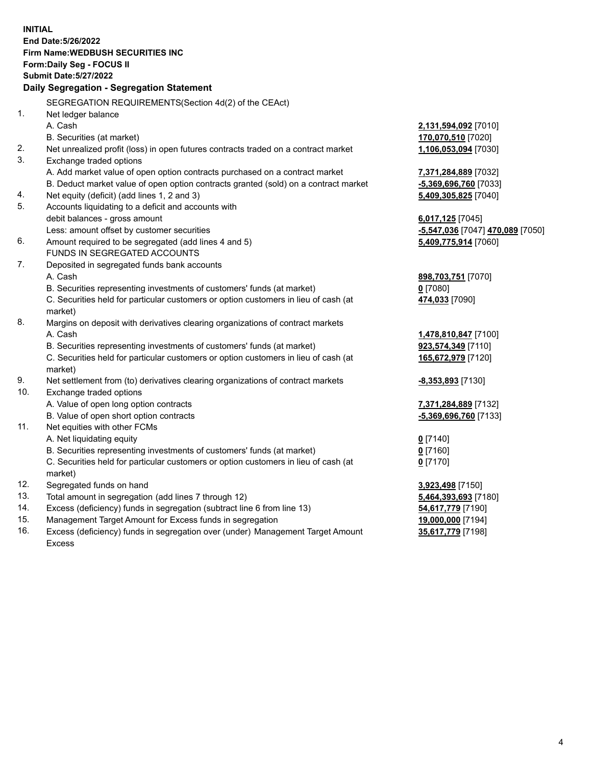|     | <b>INITIAL</b>                                                                                 |                                            |
|-----|------------------------------------------------------------------------------------------------|--------------------------------------------|
|     | End Date: 5/26/2022                                                                            |                                            |
|     | Firm Name: WEDBUSH SECURITIES INC                                                              |                                            |
|     | Form: Daily Seg - FOCUS II                                                                     |                                            |
|     | <b>Submit Date: 5/27/2022</b>                                                                  |                                            |
|     | Daily Segregation - Segregation Statement                                                      |                                            |
|     | SEGREGATION REQUIREMENTS(Section 4d(2) of the CEAct)                                           |                                            |
| 1.  | Net ledger balance                                                                             |                                            |
|     | A. Cash                                                                                        | 2,131,594,092 [7010]                       |
|     | B. Securities (at market)                                                                      | 170,070,510 [7020]                         |
| 2.  | Net unrealized profit (loss) in open futures contracts traded on a contract market             | 1,106,053,094 [7030]                       |
| 3.  | Exchange traded options                                                                        |                                            |
|     | A. Add market value of open option contracts purchased on a contract market                    | 7,371,284,889 [7032]                       |
|     | B. Deduct market value of open option contracts granted (sold) on a contract market            | -5,369,696,760 [7033]                      |
| 4.  | Net equity (deficit) (add lines 1, 2 and 3)                                                    | 5,409,305,825 [7040]                       |
| 5.  | Accounts liquidating to a deficit and accounts with                                            |                                            |
|     | debit balances - gross amount                                                                  | 6,017,125 [7045]                           |
|     | Less: amount offset by customer securities                                                     | -5,547,036 [7047] 470,089 [7050]           |
| 6.  | Amount required to be segregated (add lines 4 and 5)                                           | 5,409,775,914 [7060]                       |
|     | FUNDS IN SEGREGATED ACCOUNTS                                                                   |                                            |
| 7.  | Deposited in segregated funds bank accounts                                                    |                                            |
|     | A. Cash                                                                                        | 898,703,751 [7070]                         |
|     | B. Securities representing investments of customers' funds (at market)                         | $0$ [7080]                                 |
|     | C. Securities held for particular customers or option customers in lieu of cash (at<br>market) | 474,033 [7090]                             |
| 8.  | Margins on deposit with derivatives clearing organizations of contract markets                 |                                            |
|     | A. Cash                                                                                        |                                            |
|     | B. Securities representing investments of customers' funds (at market)                         | 1,478,810,847 [7100]<br>923,574,349 [7110] |
|     | C. Securities held for particular customers or option customers in lieu of cash (at            | 165,672,979 [7120]                         |
|     | market)                                                                                        |                                            |
| 9.  | Net settlement from (to) derivatives clearing organizations of contract markets                | <u>-8,353,893</u> [7130]                   |
| 10. | Exchange traded options                                                                        |                                            |
|     | A. Value of open long option contracts                                                         | 7,371,284,889 [7132]                       |
|     | B. Value of open short option contracts                                                        | -5,369,696,760 [7133]                      |
| 11. | Net equities with other FCMs                                                                   |                                            |
|     | A. Net liquidating equity                                                                      | $0$ [7140]                                 |
|     | B. Securities representing investments of customers' funds (at market)                         | $0$ [7160]                                 |
|     | C. Securities held for particular customers or option customers in lieu of cash (at            | 0 <sup>[7170]</sup>                        |
|     | market)                                                                                        |                                            |
| 12. | Segregated funds on hand                                                                       | 3,923,498 [7150]                           |
| 13. | Total amount in segregation (add lines 7 through 12)                                           | 5,464,393,693 [7180]                       |
| 14. | Excess (deficiency) funds in segregation (subtract line 6 from line 13)                        | 54,617,779 [7190]                          |
| 15. | Management Target Amount for Excess funds in segregation                                       | 19,000,000 [7194]                          |
|     |                                                                                                |                                            |

16. Excess (deficiency) funds in segregation over (under) Management Target Amount Excess

**35,617,779** [7198]